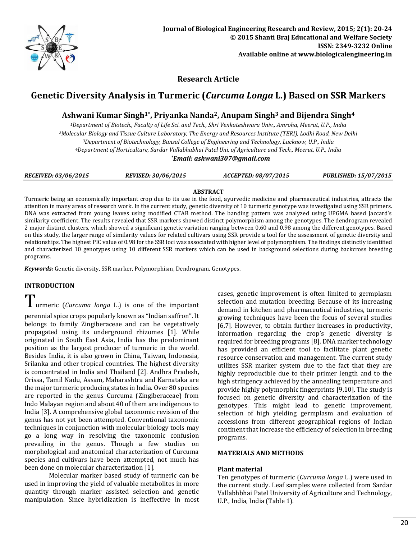

## **Research Article**

# **Genetic Diversity Analysis in Turmeric (***Curcuma Longa* **L.) Based on SSR Markers**

## **Ashwani Kumar Singh1\*, Priyanka Nanda2, Anupam Singh<sup>3</sup> and Bijendra Singh<sup>4</sup>**

*Department of Biotech., Faculty of Life Sci. and Tech., Shri Venkateshwara Univ., Amroha, Meerut, U.P., India Molecular Biology and Tissue Culture Laboratory, The Energy and Resources Institute (TERI), Lodhi Road, New Delhi Department of Biotechnology, Bansal College of Engineering and Technology, Lucknow, U.P., India Department of Horticulture, Sardar Vallabhabhai Patel Uni. of Agriculture and Tech., Meerut, U.P., India \*Email: [ashwani307@gmail.com](mailto:ashwani307@gmail.com)*

| <b>RECEIVED: 03/06/2015</b> | <b>REVISED: 30/06/2015</b> | ACCEPTED: 08/07/2015 | <b>PUBLISHED: 15/07/2015</b> |  |
|-----------------------------|----------------------------|----------------------|------------------------------|--|

## **ABSTRACT**

Turmeric being an economically important crop due to its use in the food, ayurvedic medicine and pharmaceutical industries, attracts the attention in many areas of research work. In the current study, genetic diversity of 10 turmeric genotype was investigated using SSR primers. DNA was extracted from young leaves using modified CTAB method. The banding pattern was analyzed using UPGMA based Jaccard's similarity coefficient. The results revealed that SSR markers showed distinct polymorphism among the genotypes. The dendrogram revealed 2 major distinct clusters, which showed a significant genetic variation ranging between 0.60 and 0.98 among the different genotypes. Based on this study, the larger range of similarity values for related cultivars using SSR provide a tool for the assessment of genetic diversity and relationships. The highest PIC value of 0.98 for the SSR loci was associated with higher level of polymorphism. The findings distinctly identified and characterized 10 genotypes using 10 different SSR markers which can be used in background selections during backcross breeding programs.

*Keywords:* Genetic diversity, SSR marker, Polymorphism, Dendrogram, Genotypes.

## **INTRODUCTION**

Turmeric (*Curcuma longa* L.) is one of the important perennial spice crops popularly known as "Indian saffron". It belongs to family Zingiberaceae and can be vegetatively propagated using its underground rhizomes [1]. While originated in South East Asia, India has the predominant position as the largest producer of turmeric in the world. Besides India, it is also grown in China, Taiwan, Indonesia, Srilanka and other tropical countries. The highest diversity is concentrated in India and Thailand [2]. Andhra Pradesh, Orissa, Tamil Nadu, Assam, Maharashtra and Karnataka are the major turmeric producing states in India. Over 80 species are reported in the genus Curcuma (Zingiberaceae) from Indo Malayan region and about 40 of them are indigenous to India [3]. A comprehensive global taxonomic revision of the genus has not yet been attempted. Conventional taxonomic techniques in conjunction with molecular biology tools may go a long way in resolving the taxonomic confusion prevailing in the genus. Though a few studies on morphological and anatomical characterization of Curcuma species and cultivars have been attempted, not much has been done on molecular characterization [1].

Molecular marker based study of turmeric can be used in improving the yield of valuable metabolites in more quantity through marker assisted selection and genetic manipulation. Since hybridization is ineffective in most

cases, genetic improvement is often limited to germplasm selection and mutation breeding. Because of its increasing demand in kitchen and pharmaceutical industries, turmeric growing techniques have been the focus of several studies [6,7]. However, to obtain further increases in productivity, information regarding the crop's genetic diversity is required for breeding programs [8]. DNA marker technology has provided an efficient tool to facilitate plant genetic resource conservation and management. The current study utilizes SSR marker system due to the fact that they are highly reproducible due to their primer length and to the high stringency achieved by the annealing temperature and provide highly polymorphic fingerprints [9,10]. The study is focused on genetic diversity and characterization of the genotypes. This might lead to genetic improvement, selection of high yielding germplasm and evaluation of accessions from different geographical regions of Indian continent that increase the efficiency of selection in breeding programs.

## **MATERIALS AND METHODS**

## **Plant material**

Ten genotypes of turmeric (*Curcuma longa* L.) were used in the current study. Leaf samples were collected from Sardar Vallabhbhai Patel University of Agriculture and Technology, U.P., India, India (Table 1).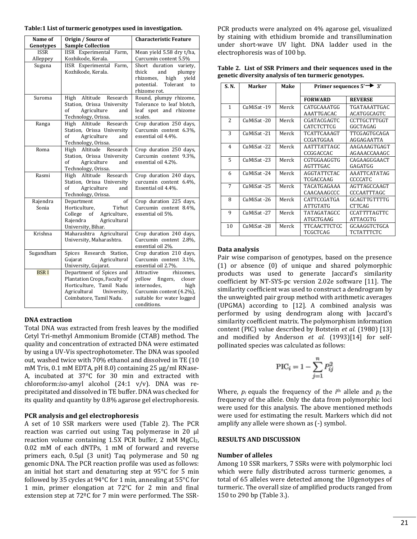| Name of     | Origin / Source of                                  | <b>Characteristic Feature</b>                     |
|-------------|-----------------------------------------------------|---------------------------------------------------|
| Genotypes   | <b>Sample Collection</b>                            |                                                   |
| <b>ISSR</b> | <b>IISR</b> Experimental<br>Farm,                   | Mean yield 5.58 dry t/ha,                         |
| Alleppey    | Kozhikode, Kerala.                                  | Curcumin content 5.5%                             |
| Suguna      | IISR Experimental<br>Farm,                          | duration<br>Short<br>variety,                     |
|             | Kozhikode, Kerala.                                  | thick<br>and<br>plumpy                            |
|             |                                                     | rhizomes,<br>high<br>vield                        |
|             |                                                     | potential. Tolerant<br>to                         |
|             |                                                     | rhizome rot.                                      |
| Suroma      | Altitude Research<br>High                           | Round, plumpy rhizome,                            |
|             | Station, Orissa University                          | Tolerance to leaf blotch,                         |
|             | of<br>Agriculture<br>and                            | leaf spot and rhizome                             |
|             | Technology, Orissa.                                 | scales.                                           |
| Ranga       | Altitude<br>High<br>Research                        | Crop duration 250 days,                           |
|             | Station, Orissa University                          | Curcumin content 6.3%.                            |
|             | of<br>Agriculture<br>and                            | essential oil 4.4%.                               |
| Roma        | Technology, Orissa.<br>High<br>Altitude<br>Research |                                                   |
|             | Station, Orissa University                          | Crop duration 250 days,<br>Curcumin content 9.3%. |
|             | of<br>Agriculture<br>and                            | essential oil 4.2%.                               |
|             | Technology, Orissa.                                 |                                                   |
| Rasmi       | High Altitude Research                              | Crop duration 240 days,                           |
|             | Station, Orissa University                          | curcumin content 6.4%,                            |
|             | of<br>Agriculture<br>and                            | Essential oil 4.4%.                               |
|             | Technology, Orissa.                                 |                                                   |
| Rajendra    | Department<br>of                                    | Crop duration 225 days,                           |
| Sonia       | Horticulture,<br>Tirhut                             | Curcumin content 8.4%,                            |
|             | Agriculture,<br>College of                          | essential oil 5%.                                 |
|             | Rajendra<br>Agricultural                            |                                                   |
|             | University, Bihar.                                  |                                                   |
| Krishna     | Maharashtra Agricultural                            | Crop duration 240 days,                           |
|             | University, Maharashtra.                            | Curcumin content 2.8%.                            |
|             |                                                     | essential oil 2%.                                 |
| Sugandham   | Spices Research Station,                            | Crop duration 210 days,                           |
|             | Agricultural<br>Gujarat                             | Curcumin content 3.1%,                            |
|             | University, Gujarat.                                | essential oil 2.7%.                               |
| <b>BSRI</b> | Department of Spices and                            | rhizomes,<br>Attractive                           |
|             | Plantation Crops, Faculty of                        | yellow fingers, closer                            |
|             | Horticulture, Tamil Nadu                            | internodes,<br>high                               |
|             | Agricultural<br>University,                         | Curcumin content (4.2%),                          |
|             | Coimbatore, Tamil Nadu.                             | suitable for water logged<br>conditions.          |

## **DNA extraction**

Total DNA was extracted from fresh leaves by the modified Cetyl Tri-methyl Ammonium Bromide (CTAB) method. The quality and concentration of extracted DNA were estimated by using a UV-Vis spectrophotometer. The DNA was spooled out, washed twice with 70% ethanol and dissolved in TE (10 mM Tris, 0.1 mM EDTA, pH 8.0) containing 25 μg/ml RNase-A, incubated at 37°C for 30 min and extracted with chloroform:*iso*-amyl alcohol (24:1 v/v). DNA was reprecipitated and dissolved in TE buffer. DNA was checked for its quality and quantity by 0.8% agarose gel electrophoresis.

## **PCR analysis and gel electrophoresis**

A set of 10 SSR markers were used (Table 2). The PCR reaction was carried out using Taq polymerase in 20 μl reaction volume containing 1.5X PCR buffer, 2 mM MgCl2, 0.02 mM of each dNTPs, 1 mM of forward and reverse primers each, 0.5µl (3 unit) Taq polymerase and 50 ng genomic DNA. The PCR reaction profile was used as follows: an initial hot start and denaturing step at 95°C for 5 min followed by 35 cycles at 94°C for 1 min, annealing at 55°C for 1 min, primer elongation at 72°C for 2 min and final extension step at 72ºC for 7 min were performed. The SSR-

PCR products were analyzed on 4% agarose gel, visualized by staining with ethidium bromide and transillumination under short-wave UV light. DNA ladder used in the electrophoresis was of 100 bp.

| Table 2. List of SSR Primers and their sequences used in the |
|--------------------------------------------------------------|
| genetic diversity analysis of ten turmeric genotypes.        |

| S. N.          | Marker      | Make  | Primer sequences $5' \rightarrow 3'$ |                     |  |  |
|----------------|-------------|-------|--------------------------------------|---------------------|--|--|
|                |             |       | <b>FORWARD</b>                       | <b>REVERSE</b>      |  |  |
| 1              | CuMiSat-19  | Merck | CATGCAAATGG                          | TGATAAATTGAC        |  |  |
|                |             |       | AAATTGACAC                           | ACATGGCAGTC         |  |  |
| $\mathcal{L}$  | CuMiSat-20  | Merck | CGATACGAGTC                          | CCTTGCTTTGGT        |  |  |
|                |             |       | CATCTCTTCG                           | GGCTAGAG            |  |  |
| 3              | CuMiSat-21  | Merck | TCATTCAAAGT                          | TTCGAGTGCAGA        |  |  |
|                |             |       | CCGATGGAA                            | AGGAGAATTA          |  |  |
| $\overline{4}$ | CuMiSat -22 | Merck | AATTTATTAGC                          | AAGAAAGTGAGT        |  |  |
|                |             |       | CCGGACCAC                            | AGAAACCAAAGC        |  |  |
| 5              | CuMiSat -23 | Merck | CGTGGAAGGTG                          | CAGAAGGGAACT        |  |  |
|                |             |       | AGTTTGAC                             | GAGATGG             |  |  |
| 6              | CuMiSat-24  | Merck | <b>AGGTATTCTAC</b>                   | <b>AAATTCATATAG</b> |  |  |
|                |             |       | TCGACCAAG                            | <b>CCCCATC</b>      |  |  |
| 7              | CuMiSat-25  | Merck | TACATGAGAAA                          | AGTTAGCCAAGT        |  |  |
|                |             |       | CAACAAAGCCC                          | CCCAATTTAGC         |  |  |
| 8              | CuMiSat-26  | Merck | CATTCCGATGA                          | <b>GCAGTTGTTTTG</b> |  |  |
|                |             |       | <b>ATTGTATG</b>                      | <b>CTTCAG</b>       |  |  |
| 9              | CuMiSat -27 | Merck | TATAGATAGCC                          | <b>CCATTTTAGTTC</b> |  |  |
|                |             |       | ATGCTGAAG                            | ATTACGTG            |  |  |
| 10             | CuMiSat -28 | Merck | TTCAACTTCTCC                         | GCAAGGTCTGCA        |  |  |
|                |             |       | TCGCTCAG                             | TCTATTTCTC          |  |  |

## **Data analysis**

Pair wise comparison of genotypes, based on the presence (1) or absence (0) of unique and shared polymorphic products was used to generate Jaccard's similarity coefficient by NT-SYS-pc version 2.02e software [11]. The similarity coefficient was used to construct a dendrogram by the unweighted pair group method with arithmetic averages (UPGMA) according to [12]. A combined analysis was performed by using dendrogram along with Jaccard's similarity coefficient matrix. The polymorphism information content (PIC) value described by Botstein *et al.* (1980) [13] and modified by Anderson et al. (1993)[14] for selfpollinated species was calculated as follows:

$$
\text{PIC}_i = 1 - \sum_{j=1}^{n} P_{ij}^2
$$

Where,  $p_i$  equals the frequency of the  $i<sup>th</sup>$  allele and  $p_j$  the frequency of the allele. Only the data from polymorphic loci were used for this analysis. The above mentioned methods were used for estimating the result. Markers which did not amplify any allele were shown as (-) symbol.

## **RESULTS AND DISCUSSION**

## **Number of alleles**

Among 10 SSR markers, 7 SSRs were with polymorphic loci which were fully distributed across turmeric genomes, a total of 65 alleles were detected among the 10genotypes of turmeric. The overall size of amplified products ranged from 150 to 290 bp (Table 3.).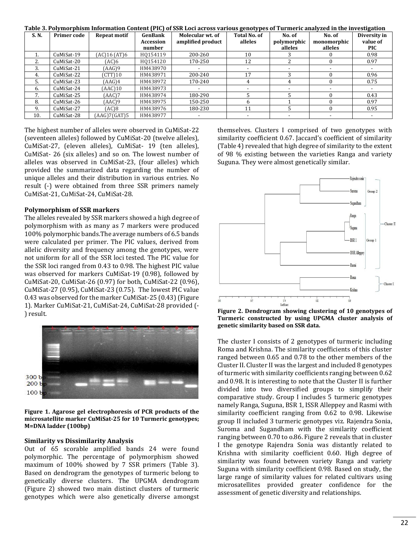| Lable 3. Polymorphism iniormation content [PIC] of SSR Loci across various genotypes of Turmeric analyzed in the investigation |             |                     |           |                   |                     |             |             |              |  |  |
|--------------------------------------------------------------------------------------------------------------------------------|-------------|---------------------|-----------|-------------------|---------------------|-------------|-------------|--------------|--|--|
| S. N.                                                                                                                          | Primer code | <b>Repeat motif</b> | GenBank   | Molecular wt. of  | <b>Total No. of</b> | No. of      | No. of      | Diversity in |  |  |
|                                                                                                                                |             |                     | Accession | amplified product | alleles             | polymorphic | monomorphic | value of     |  |  |
|                                                                                                                                |             |                     | number    |                   |                     | alleles     | alleles     | <b>PIC</b>   |  |  |
|                                                                                                                                | CuMiSat-19  | (AC)16 (AT)6        | H0154119  | 200-260           | 10                  |             |             | 0.98         |  |  |
| 2.                                                                                                                             | CuMiSat-20  | (AC)6               | H0154120  | 170-250           | 12                  |             |             | 0.97         |  |  |
| 3.                                                                                                                             | CuMiSat-21  | (AAG)9              | HM438970  |                   |                     |             |             |              |  |  |
| 4.                                                                                                                             | CuMiSat-22  | (CTT)10             | HM438971  | 200-240           | 17                  |             |             | 0.96         |  |  |
| 5.                                                                                                                             | CuMiSat-23  | (AAG)4              | HM438972  | 170-240           |                     |             |             | 0.75         |  |  |
| 6.                                                                                                                             | CuMiSat-24  | (AAC)10             | HM438973  |                   |                     |             |             |              |  |  |
| 7.                                                                                                                             | CuMiSat-25  | (AAC)7              | HM438974  | 180-290           |                     |             |             | 0.43         |  |  |
| 8.                                                                                                                             | CuMiSat-26  | (AAC)9              | HM438975  | 150-250           |                     |             |             | 0.97         |  |  |
| 9.                                                                                                                             | CuMiSat-27  | (AC)8               | HM438976  | 180-230           | 11                  |             |             | 0.95         |  |  |
| 10.                                                                                                                            | CuMiSat-28  | (AAG)7(GAT)5        | HM438977  |                   |                     |             |             |              |  |  |

**Table 3. Polymorphism Information Content (PIC) of SSR Loci across various genotypes of Turmeric analyzed in the investigation**

The highest number of alleles were observed in CuMiSat-22 (seventeen alleles) followed by CuMiSat-20 (twelve alleles), CuMiSat-27, (eleven alleles), CuMiSat- 19 (ten alleles), CuMiSat- 26 (six alleles) and so on. The lowest number of alleles was observed in CuMiSat-23, (four alleles) which provided the summarized data regarding the number of unique alleles and their distribution in various entries. No result (-) were obtained from three SSR primers namely CuMiSat-21, CuMiSat-24, CuMiSat-28.

#### **Polymorphism of SSR markers**

The alleles revealed by SSR markers showed a high degree of polymorphism with as many as 7 markers were produced 100% polymorphic bands.The average numbers of 6.5 bands were calculated per primer. The PIC values, derived from allelic diversity and frequency among the genotypes, were not uniform for all of the SSR loci tested. The PIC value for the SSR loci ranged from 0.43 to 0.98. The highest PIC value was observed for markers CuMiSat-19 (0.98), followed by CuMiSat-20, CuMiSat-26 (0.97) for both, CuMiSat-22 (0.96), CuMiSat-27 (0.95), CuMiSat-23 (0.75). The lowest PIC value 0.43 was observed for the marker CuMiSat-25 (0.43) (Figure 1). Marker CuMiSat-21, CuMiSat-24, CuMiSat-28 provided (- ) result.

300 b  $2001$ 100 t

**Figure 1. Agarose gel electrophoresis of PCR products of the microsatellite marker CuMiSat-25 for 10 Turmeric genotypes; M=DNA ladder (100bp)**

#### **Similarity vs Dissimilarity Analysis**

Out of 65 scorable amplified bands 24 were found polymorphic. The percentage of polymorphism showed maximum of 100% showed by 7 SSR primers (Table 3). Based on dendrogram the genotypes of turmeric belong to genetically diverse clusters. The UPGMA dendrogram (Figure 2) showed two main distinct clusters of turmeric genotypes which were also genetically diverse amongst

themselves. Clusters I comprised of two genotypes with similarity coefficient 0.67. Jaccard's coefficient of similarity (Table 4) revealed that high degree of similarity to the extent of 98 % existing between the varieties Ranga and variety Suguna. They were almost genetically similar.



**Figure 2. Dendrogram showing clustering of 10 genotypes of Turmeric constructed by using UPGMA cluster analysis of genetic similarity based on SSR data.**

The cluster I consists of 2 genotypes of turmeric including Roma and Krishna. The similarity coefficients of this cluster ranged between 0.65 and 0.78 to the other members of the Cluster II. Cluster II was the largest and included 8 genotypes of turmeric with similarity coefficients ranging between 0.62 and 0.98. It is interesting to note that the Cluster II is further divided into two diversified groups to simplify their comparative study. Group I includes 5 turmeric genotypes namely Ranga, Suguna, BSR 1, ISSR Alleppey and Rasmi with similarity coefficient ranging from 0.62 to 0.98. Likewise group II included 3 turmeric genotypes viz. Rajendra Sonia, Suroma and Sugandham with the similarity coefficient ranging between 0.70 to o.86. Figure 2 reveals that in cluster I the genotype Rajendra Sonia was distantly related to Krishna with similarity coefficient 0.60. High degree of similarity was found between variety Ranga and variety Suguna with similarity coefficient 0.98. Based on study, the large range of similarity values for related cultivars using microsatellites provided greater confidence for the assessment of genetic diversity and relationships.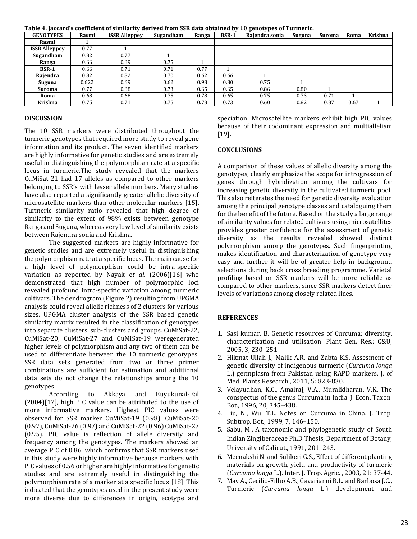| rabic 'n jaceara's cochicient of shimarity acrivea h'un bon aaw obtained by 10 gehotypes of rafinerier |       |                      |           |       |              |                |        |               |      |         |
|--------------------------------------------------------------------------------------------------------|-------|----------------------|-----------|-------|--------------|----------------|--------|---------------|------|---------|
| <b>GENOTYPES</b>                                                                                       | Rasmi | <b>ISSR Alleppey</b> | Sugandham | Ranga | <b>BSR-1</b> | Raiendra sonia | Suguna | <b>Suroma</b> | Roma | Krishna |
| Rasmi                                                                                                  |       |                      |           |       |              |                |        |               |      |         |
| <b>ISSR Alleppey</b>                                                                                   | 0.77  |                      |           |       |              |                |        |               |      |         |
| Sugandham                                                                                              | 0.82  | 0.77                 |           |       |              |                |        |               |      |         |
| Ranga                                                                                                  | 0.66  | 0.69                 | 0.75      |       |              |                |        |               |      |         |
| <b>BSR-1</b>                                                                                           | 0.66  | 0.71                 | 0.71      | 0.77  |              |                |        |               |      |         |
| Rajendra                                                                                               | 0.82  | 0.82                 | 0.70      | 0.62  | 0.66         |                |        |               |      |         |
| Suguna                                                                                                 | 0.622 | 0.69                 | 0.62      | 0.98  | 0.80         | 0.75           |        |               |      |         |
| Suroma                                                                                                 | 0.77  | 0.68                 | 0.73      | 0.65  | 0.65         | 0.86           | 0.80   |               |      |         |
| Roma                                                                                                   | 0.68  | 0.68                 | 0.75      | 0.78  | 0.65         | 0.75           | 0.73   | 0.71          |      |         |
| Krishna                                                                                                | 0.75  | 0.71                 | 0.75      | 0.78  | 0.73         | 0.60           | 0.82   | 0.87          | 0.67 |         |

**Table 4. Jaccard's coefficient of similarity derived from SSR data obtained by 10 genotypes of Turmeric.**

### **DISCUSSION**

The 10 SSR markers were distributed throughout the turmeric genotypes that required more study to reveal gene information and its product. The seven identified markers are highly informative for genetic studies and are extremely useful in distinguishing the polymorphism rate at a specific locus in turmeric.The study revealed that the markers CuMiSat-21 had 17 alleles as compared to other markers belonging to SSR's with lesser allele numbers. Many studies have also reported a significantly greater allelic diversity of microsatellite markers than other molecular markers [15]. Turmeric similarity ratio revealed that high degree of similarity to the extent of 98% exists between genotype Ranga and Suguna, whereas very low level of similarity exists between Rajendra sonia and Krishna.

The suggested markers are highly informative for genetic studies and are extremely useful in distinguishing the polymorphism rate at a specific locus. The main cause for a high level of polymorphism could be intra-specific variation as reported by Nayak e*t al.* (2006)[16] who demonstrated that high number of polymorphic loci revealed profound intra-specific variation among turmeric cultivars. The dendrogram (Figure 2) resulting from UPGMA analysis could reveal allelic richness of 2 clusters for various sizes. UPGMA cluster analysis of the SSR based genetic similarity matrix resulted in the classification of genotypes into separate clusters, sub-clusters and groups. CuMiSat-22, CuMiSat-20, CuMiSat-27 and CuMiSat-19 weregenerated higher levels of polymorphism and any two of them can be used to differentiate between the 10 turmeric genotypes. SSR data sets generated from two or three primer combinations are sufficient for estimation and additional data sets do not change the relationships among the 10 genotypes.

According to Akkaya and Buyukunal-Bal (2004)[17], high PIC value can be attributed to the use of more informative markers. Highest PIC values were observed for SSR marker CuMiSat-19 (0.98), CuMiSat-20 (0.97), CuMiSat-26 (0.97) and CuMiSat-22 (0.96) CuMiSat-27 (0.95). PIC value is reflection of allele diversity and frequency among the genotypes. The markers showed an average PIC of 0.86, which confirms that SSR markers used in this study were highly informative because markers with PIC values of 0.56 or higher are highly informative for genetic studies and are extremely useful in distinguishing the polymorphism rate of a marker at a specific locus [18]. This indicated that the genotypes used in the present study were more diverse due to differences in origin, ecotype and

speciation. Microsatellite markers exhibit high PIC values because of their codominant expression and multiallelism [19].

#### **CONCLUSIONS**

A comparison of these values of allelic diversity among the genotypes, clearly emphasize the scope for introgression of genes through hybridization among the cultivars for increasing genetic diversity in the cultivated turmeric pool. This also reiterates the need for genetic diversity evaluation among the principal genotype classes and cataloguing them for the benefit of the future. Based on the study a large range of similarity values for related cultivars using microsatellites provides greater confidence for the assessment of genetic diversity as the results revealed showed distinct polymorphism among the genotypes. Such fingerprinting makes identification and characterization of genotype very easy and further it will be of greater help in background selections during back cross breeding programme. Varietal profiling based on SSR markers will be more reliable as compared to other markers, since SSR markers detect finer levels of variations among closely related lines.

## **REFERENCES**

- 1. Sasi kumar, B. Genetic resources of Curcuma: diversity, characterization and utilisation. Plant Gen. Res.: C&U, 2005, 3, 230–251.
- 2. Hikmat Ullah J., Malik A.R. and Zabta K.S. Assesment of genetic diversity of indigenous turmeric (*Curcuma longa* L.) germplasm from Pakistan using RAPD markers. J. of Med. Plants Research., 2011, 5: 823-830.
- 3. Velayudhan, K.C., Amalraj, V.A., Muralidharan, V.K. The conspectus of the genus Curcuma in India. J. Econ. Taxon. Bot., 1996, 20, 345–438.
- 4. Liu, N., Wu, T.L. Notes on Curcuma in China. J. Trop. Subtrop. Bot., 1999, 7, 146–150.
- 5. Sabu, M., A taxonomic and phylogenetic study of South Indian Zingiberaceae Ph.D Thesis, Department of Botany, University of Calicut., 1991, 201–243.
- 6. Meenakshi N. and Sulikeri G.S., Effect of different planting materials on growth, yield and productivity of turmeric (*Curcuma longa* L.). Inter. J. Trop. Agric. , 2003, 21: 37-44.
- 7. May A., Cecilio-Filho A.B., Cavarianni R.L. and Barbosa J.C., Turmeric (*Curcuma longa* L.) development and